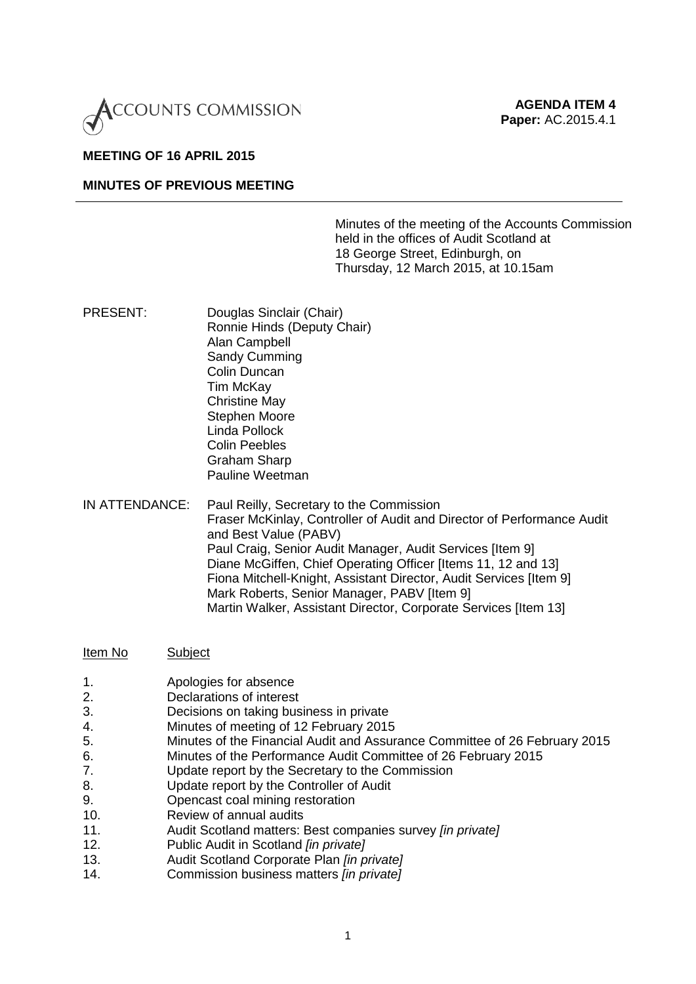

#### **MEETING OF 16 APRIL 2015**

# **MINUTES OF PREVIOUS MEETING**

Minutes of the meeting of the Accounts Commission held in the offices of Audit Scotland at 18 George Street, Edinburgh, on Thursday, 12 March 2015, at 10.15am

- PRESENT: Douglas Sinclair (Chair) Ronnie Hinds (Deputy Chair) Alan Campbell Sandy Cumming Colin Duncan Tim McKay Christine May Stephen Moore Linda Pollock Colin Peebles Graham Sharp Pauline Weetman
- IN ATTENDANCE: Paul Reilly, Secretary to the Commission Fraser McKinlay, Controller of Audit and Director of Performance Audit and Best Value (PABV) Paul Craig, Senior Audit Manager, Audit Services [Item 9] Diane McGiffen, Chief Operating Officer [Items 11, 12 and 13] Fiona Mitchell-Knight, Assistant Director, Audit Services [Item 9] Mark Roberts, Senior Manager, PABV [Item 9] Martin Walker, Assistant Director, Corporate Services [Item 13]

#### Item No Subject

- 1. Apologies for absence<br>2 Declarations of interest
- Declarations of interest
- 3. Decisions on taking business in private<br>4. Minutes of meeting of 12 February 2015
- 4. Minutes of meeting of 12 February 2015
- 5. Minutes of the Financial Audit and Assurance Committee of 26 February 2015
- 6. Minutes of the Performance Audit Committee of 26 February 2015
- 7. Update report by the Secretary to the Commission
- 8. Update report by the Controller of Audit
- 9. Opencast coal mining restoration
- 10. Review of annual audits
- 11. Audit Scotland matters: Best companies survey *[in private]*
- 12. Public Audit in Scotland *[in private]*
- 13. Audit Scotland Corporate Plan *[in private]*
- 14. Commission business matters *[in private]*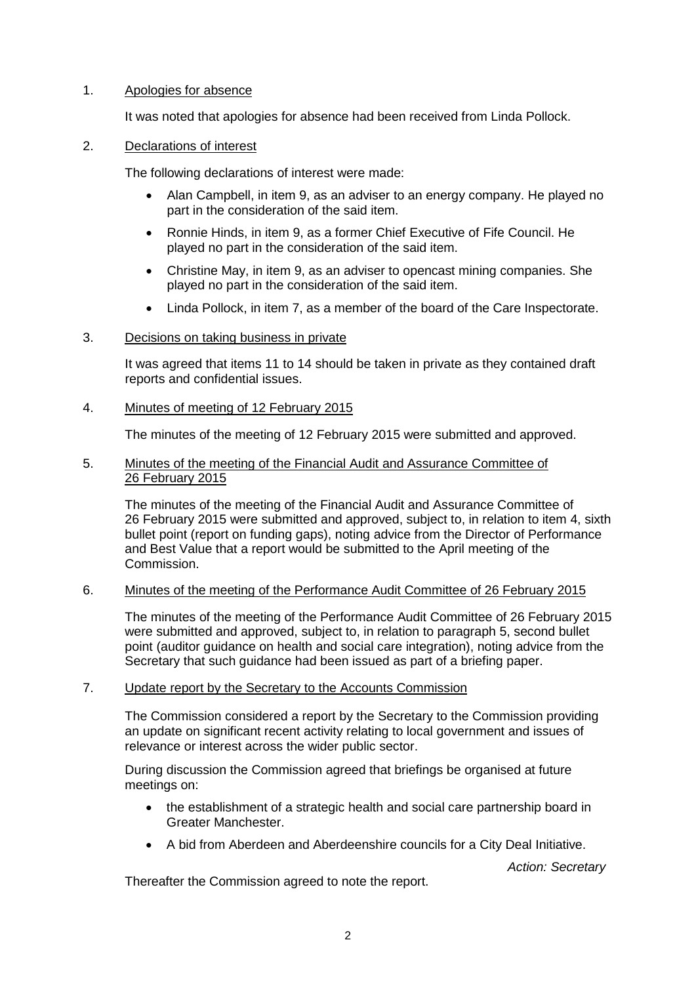# 1. Apologies for absence

It was noted that apologies for absence had been received from Linda Pollock.

# 2. Declarations of interest

The following declarations of interest were made:

- Alan Campbell, in item 9, as an adviser to an energy company. He played no part in the consideration of the said item.
- Ronnie Hinds, in item 9, as a former Chief Executive of Fife Council. He played no part in the consideration of the said item.
- Christine May, in item 9, as an adviser to opencast mining companies. She played no part in the consideration of the said item.
- Linda Pollock, in item 7, as a member of the board of the Care Inspectorate.

# 3. Decisions on taking business in private

It was agreed that items 11 to 14 should be taken in private as they contained draft reports and confidential issues.

# 4. Minutes of meeting of 12 February 2015

The minutes of the meeting of 12 February 2015 were submitted and approved.

# 5. Minutes of the meeting of the Financial Audit and Assurance Committee of 26 February 2015

The minutes of the meeting of the Financial Audit and Assurance Committee of 26 February 2015 were submitted and approved, subject to, in relation to item 4, sixth bullet point (report on funding gaps), noting advice from the Director of Performance and Best Value that a report would be submitted to the April meeting of the Commission.

#### 6. Minutes of the meeting of the Performance Audit Committee of 26 February 2015

The minutes of the meeting of the Performance Audit Committee of 26 February 2015 were submitted and approved, subject to, in relation to paragraph 5, second bullet point (auditor guidance on health and social care integration), noting advice from the Secretary that such guidance had been issued as part of a briefing paper.

## 7. Update report by the Secretary to the Accounts Commission

The Commission considered a report by the Secretary to the Commission providing an update on significant recent activity relating to local government and issues of relevance or interest across the wider public sector.

During discussion the Commission agreed that briefings be organised at future meetings on:

- the establishment of a strategic health and social care partnership board in Greater Manchester.
- A bid from Aberdeen and Aberdeenshire councils for a City Deal Initiative.

*Action: Secretary*

Thereafter the Commission agreed to note the report.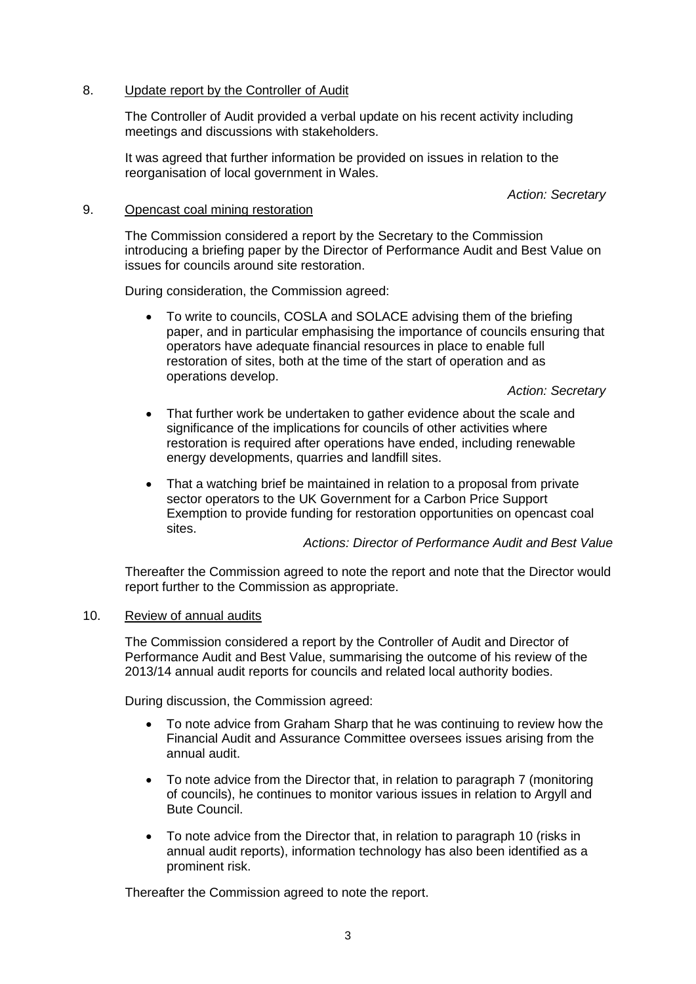# 8. Update report by the Controller of Audit

The Controller of Audit provided a verbal update on his recent activity including meetings and discussions with stakeholders.

It was agreed that further information be provided on issues in relation to the reorganisation of local government in Wales.

*Action: Secretary*

# 9. Opencast coal mining restoration

The Commission considered a report by the Secretary to the Commission introducing a briefing paper by the Director of Performance Audit and Best Value on issues for councils around site restoration.

During consideration, the Commission agreed:

• To write to councils, COSLA and SOLACE advising them of the briefing paper, and in particular emphasising the importance of councils ensuring that operators have adequate financial resources in place to enable full restoration of sites, both at the time of the start of operation and as operations develop.

*Action: Secretary*

- That further work be undertaken to gather evidence about the scale and significance of the implications for councils of other activities where restoration is required after operations have ended, including renewable energy developments, quarries and landfill sites.
- That a watching brief be maintained in relation to a proposal from private sector operators to the UK Government for a Carbon Price Support Exemption to provide funding for restoration opportunities on opencast coal sites.

*Actions: Director of Performance Audit and Best Value*

Thereafter the Commission agreed to note the report and note that the Director would report further to the Commission as appropriate.

#### 10. Review of annual audits

The Commission considered a report by the Controller of Audit and Director of Performance Audit and Best Value, summarising the outcome of his review of the 2013/14 annual audit reports for councils and related local authority bodies.

During discussion, the Commission agreed:

- To note advice from Graham Sharp that he was continuing to review how the Financial Audit and Assurance Committee oversees issues arising from the annual audit.
- To note advice from the Director that, in relation to paragraph 7 (monitoring of councils), he continues to monitor various issues in relation to Argyll and Bute Council.
- To note advice from the Director that, in relation to paragraph 10 (risks in annual audit reports), information technology has also been identified as a prominent risk.

Thereafter the Commission agreed to note the report.